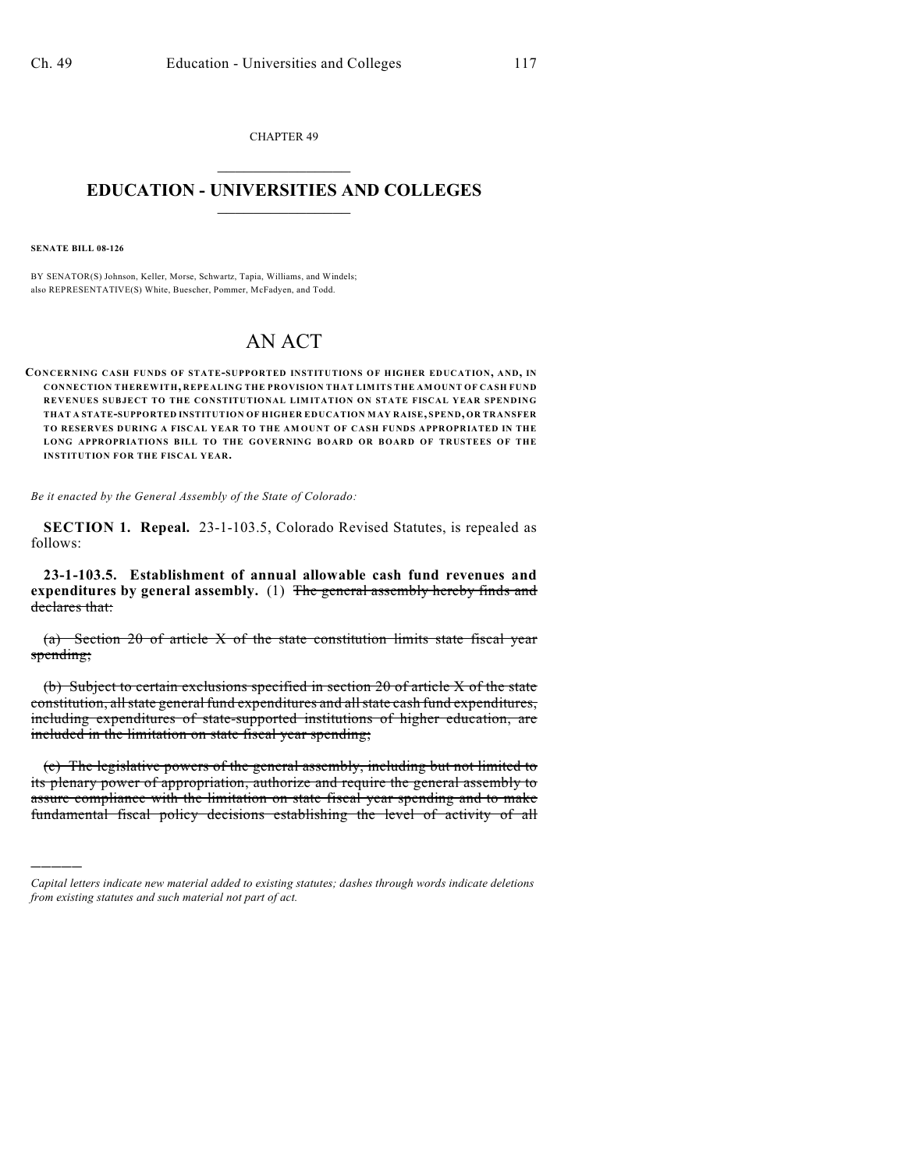CHAPTER 49  $\overline{\phantom{a}}$  . The set of the set of the set of the set of the set of the set of the set of the set of the set of the set of the set of the set of the set of the set of the set of the set of the set of the set of the set o

## **EDUCATION - UNIVERSITIES AND COLLEGES**  $\_$

**SENATE BILL 08-126**

)))))

BY SENATOR(S) Johnson, Keller, Morse, Schwartz, Tapia, Williams, and Windels; also REPRESENTATIVE(S) White, Buescher, Pommer, McFadyen, and Todd.

## AN ACT

**CO NCERNING CASH FUNDS OF STATE-SUPPORTED INSTITUTIONS OF HIGHER EDUCATION, AND, IN CONNECTION THEREWITH, REPEALING THE PROVISION THAT LIMITS THE AMOUNT OF CASH FUND REVENUES SUBJECT TO THE CONSTITUTIONAL LIMITATION ON STATE FISCAL YEAR SPENDING THAT A STATE-SUPPORTED INSTITUTION OF HIGHER EDUCATION MAY RAISE, SPEND, OR TRANSFER TO RESERVES DURING A FISCAL YEAR TO THE AM OUNT OF CASH FUNDS APPROPRIATED IN THE LONG APPROPRIATIONS BILL TO THE GOVERNING BOARD OR BOARD OF TRUSTEES OF THE INSTITUTION FOR THE FISCAL YEAR.**

*Be it enacted by the General Assembly of the State of Colorado:*

**SECTION 1. Repeal.** 23-1-103.5, Colorado Revised Statutes, is repealed as follows:

**23-1-103.5. Establishment of annual allowable cash fund revenues and expenditures by general assembly.** (1) The general assembly hereby finds and declares that:

(a) Section 20 of article X of the state constitution limits state fiscal year spending;

(b) Subject to certain exclusions specified in section 20 of article X of the state constitution, all state general fund expenditures and all state cash fund expenditures, including expenditures of state-supported institutions of higher education, are included in the limitation on state fiscal year spending;

(c) The legislative powers of the general assembly, including but not limited to its plenary power of appropriation, authorize and require the general assembly to assure compliance with the limitation on state fiscal year spending and to make fundamental fiscal policy decisions establishing the level of activity of all

*Capital letters indicate new material added to existing statutes; dashes through words indicate deletions from existing statutes and such material not part of act.*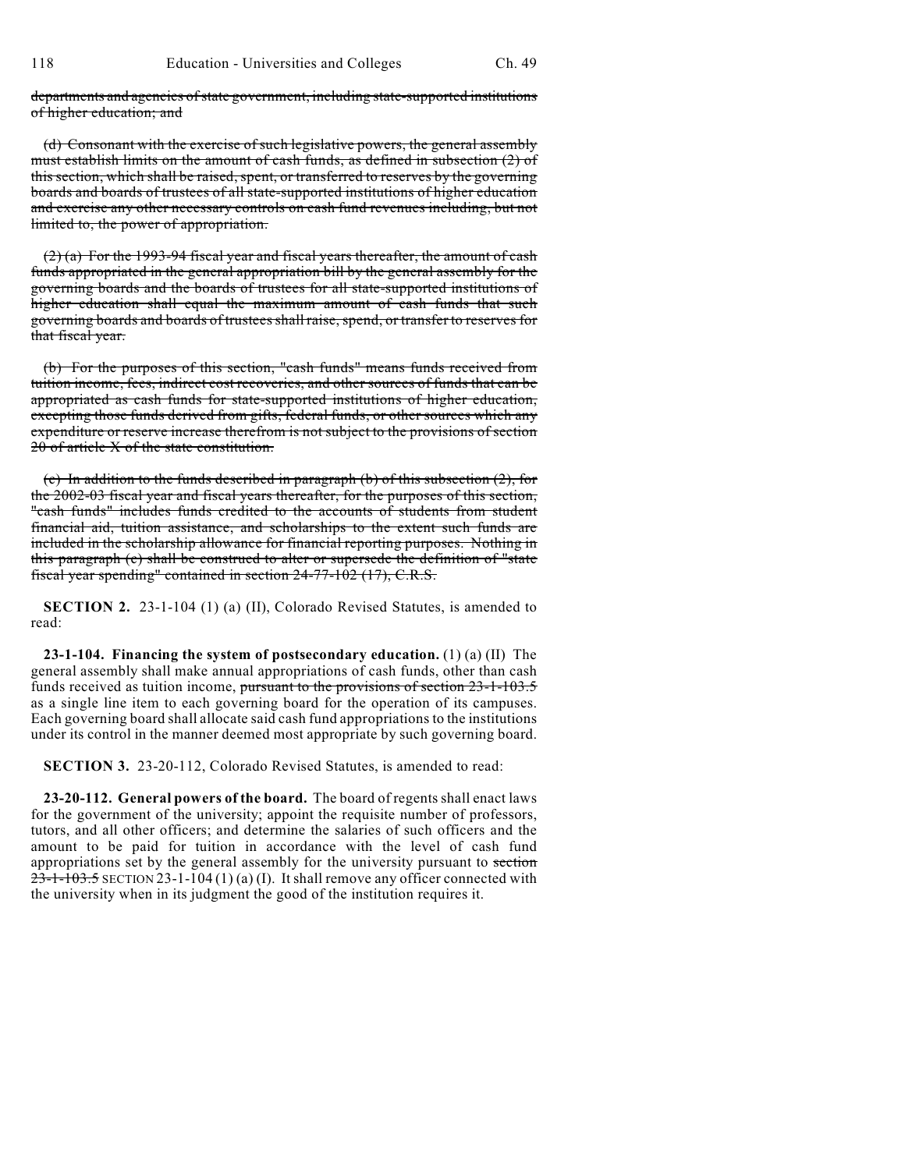departments and agencies of state government, including state-supported institutions of higher education; and

(d) Consonant with the exercise of such legislative powers, the general assembly must establish limits on the amount of cash funds, as defined in subsection (2) of this section, which shall be raised, spent, or transferred to reserves by the governing boards and boards of trustees of all state-supported institutions of higher education and exercise any other necessary controls on cash fund revenues including, but not limited to, the power of appropriation.

(2) (a) For the 1993-94 fiscal year and fiscal years thereafter, the amount of cash funds appropriated in the general appropriation bill by the general assembly for the governing boards and the boards of trustees for all state-supported institutions of higher education shall equal the maximum amount of cash funds that such governing boards and boards of trusteesshall raise, spend, or transfer to reserves for that fiscal year.

(b) For the purposes of this section, "cash funds" means funds received from tuition income, fees, indirect cost recoveries, and other sources of funds that can be appropriated as cash funds for state-supported institutions of higher education, excepting those funds derived from gifts, federal funds, or other sources which any expenditure or reserve increase therefrom is not subject to the provisions of section 20 of article X of the state constitution.

(c) In addition to the funds described in paragraph (b) of this subsection (2), for the 2002-03 fiscal year and fiscal years thereafter, for the purposes of this section, "cash funds" includes funds credited to the accounts of students from student financial aid, tuition assistance, and scholarships to the extent such funds are included in the scholarship allowance for financial reporting purposes. Nothing in this paragraph (c) shall be construed to alter or supersede the definition of "state fiscal year spending" contained in section 24-77-102 (17), C.R.S.

**SECTION 2.** 23-1-104 (1) (a) (II), Colorado Revised Statutes, is amended to read:

**23-1-104. Financing the system of postsecondary education.** (1) (a) (II) The general assembly shall make annual appropriations of cash funds, other than cash funds received as tuition income, pursuant to the provisions of section 23-1-103.5 as a single line item to each governing board for the operation of its campuses. Each governing board shall allocate said cash fund appropriations to the institutions under its control in the manner deemed most appropriate by such governing board.

**SECTION 3.** 23-20-112, Colorado Revised Statutes, is amended to read:

**23-20-112. General powers of the board.** The board of regents shall enact laws for the government of the university; appoint the requisite number of professors, tutors, and all other officers; and determine the salaries of such officers and the amount to be paid for tuition in accordance with the level of cash fund appropriations set by the general assembly for the university pursuant to section  $23-1-103.5$  SECTION 23-1-104 (1) (a) (I). It shall remove any officer connected with the university when in its judgment the good of the institution requires it.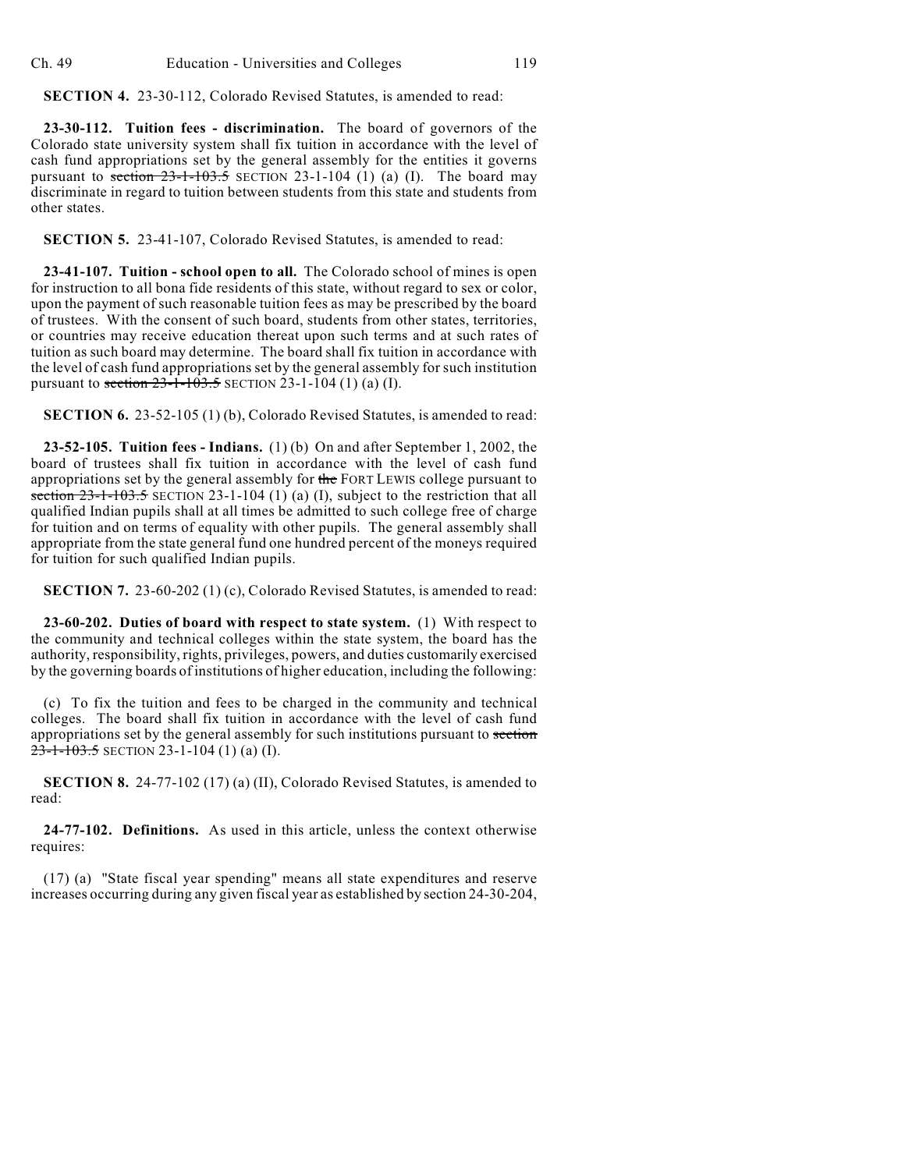**SECTION 4.** 23-30-112, Colorado Revised Statutes, is amended to read:

**23-30-112. Tuition fees - discrimination.** The board of governors of the Colorado state university system shall fix tuition in accordance with the level of cash fund appropriations set by the general assembly for the entities it governs pursuant to section  $23-1-103.5$  SECTION 23-1-104 (1) (a) (I). The board may discriminate in regard to tuition between students from this state and students from other states.

**SECTION 5.** 23-41-107, Colorado Revised Statutes, is amended to read:

**23-41-107. Tuition - school open to all.** The Colorado school of mines is open for instruction to all bona fide residents of this state, without regard to sex or color, upon the payment of such reasonable tuition fees as may be prescribed by the board of trustees. With the consent of such board, students from other states, territories, or countries may receive education thereat upon such terms and at such rates of tuition as such board may determine. The board shall fix tuition in accordance with the level of cash fund appropriations set by the general assembly for such institution pursuant to section  $23-1-103.5$  SECTION 23-1-104 (1) (a) (I).

**SECTION 6.** 23-52-105 (1) (b), Colorado Revised Statutes, is amended to read:

**23-52-105. Tuition fees - Indians.** (1) (b) On and after September 1, 2002, the board of trustees shall fix tuition in accordance with the level of cash fund appropriations set by the general assembly for the FORT LEWIS college pursuant to section  $23-1-103.5$  SECTION 23-1-104 (1) (a) (I), subject to the restriction that all qualified Indian pupils shall at all times be admitted to such college free of charge for tuition and on terms of equality with other pupils. The general assembly shall appropriate from the state general fund one hundred percent of the moneys required for tuition for such qualified Indian pupils.

**SECTION 7.** 23-60-202 (1) (c), Colorado Revised Statutes, is amended to read:

**23-60-202. Duties of board with respect to state system.** (1) With respect to the community and technical colleges within the state system, the board has the authority, responsibility, rights, privileges, powers, and duties customarily exercised by the governing boards of institutions of higher education, including the following:

(c) To fix the tuition and fees to be charged in the community and technical colleges. The board shall fix tuition in accordance with the level of cash fund appropriations set by the general assembly for such institutions pursuant to section  $23-1-103.5$  SECTION 23-1-104 (1) (a) (I).

**SECTION 8.** 24-77-102 (17) (a) (II), Colorado Revised Statutes, is amended to read:

**24-77-102. Definitions.** As used in this article, unless the context otherwise requires:

(17) (a) "State fiscal year spending" means all state expenditures and reserve increases occurring during any given fiscal year as established by section 24-30-204,